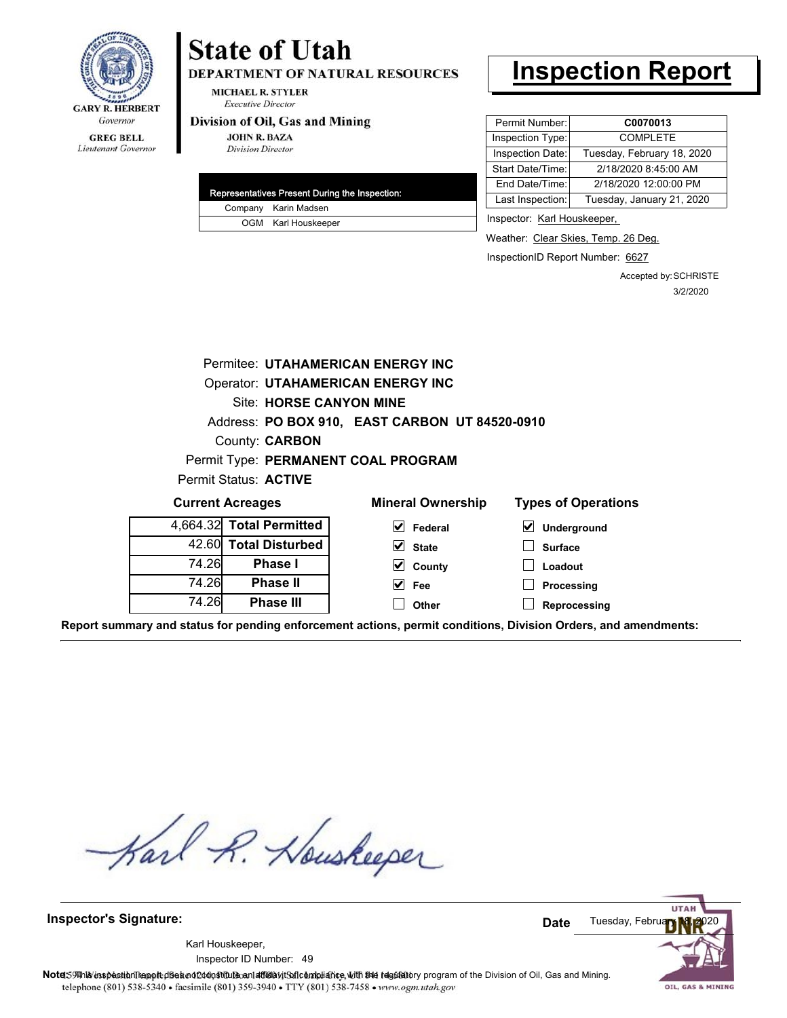

# **State of Utah**

**DEPARTMENT OF NATURAL RESOURCES** 

**MICHAEL R. STYLER Executive Director** 

#### Division of Oil, Gas and Mining

**JOHN R. BAZA Division Director** 

| Representatives Present During the Inspection: |                      |  |
|------------------------------------------------|----------------------|--|
|                                                | Company Karin Madsen |  |
|                                                | OGM Karl Houskeeper  |  |

## **Inspection Report**

| Permit Number:   | C0070013                   |  |  |
|------------------|----------------------------|--|--|
| Inspection Type: | <b>COMPLETE</b>            |  |  |
| Inspection Date: | Tuesday, February 18, 2020 |  |  |
| Start Date/Time: | 2/18/2020 8:45:00 AM       |  |  |
| End Date/Time:   | 2/18/2020 12:00:00 PM      |  |  |
| Last Inspection: | Tuesday, January 21, 2020  |  |  |

Inspector: Karl Houskeeper,

Weather: Clear Skies, Temp. 26 Deg.

InspectionID Report Number: 6627

**Reprocessing**

Accepted by: SCHRISTE 3/2/2020

| <b>Permitee: UTAHAMERICAN ENERGY INC</b>       |                          |                          |                                     |  |  |  |  |  |  |  |  |
|------------------------------------------------|--------------------------|--------------------------|-------------------------------------|--|--|--|--|--|--|--|--|
| <b>Operator: UTAHAMERICAN ENERGY INC</b>       |                          |                          |                                     |  |  |  |  |  |  |  |  |
| Site: HORSE CANYON MINE                        |                          |                          |                                     |  |  |  |  |  |  |  |  |
| Address: PO BOX 910, EAST CARBON UT 84520-0910 |                          |                          |                                     |  |  |  |  |  |  |  |  |
| County: <b>CARBON</b>                          |                          |                          |                                     |  |  |  |  |  |  |  |  |
| Permit Type: PERMANENT COAL PROGRAM            |                          |                          |                                     |  |  |  |  |  |  |  |  |
| Permit Status: ACTIVE                          |                          |                          |                                     |  |  |  |  |  |  |  |  |
| <b>Current Acreages</b>                        |                          | <b>Mineral Ownership</b> | <b>Types of Operations</b>          |  |  |  |  |  |  |  |  |
|                                                | 4,664.32 Total Permitted | M<br>Federal             | $\blacktriangledown$<br>Underground |  |  |  |  |  |  |  |  |
| 42.60                                          | <b>Total Disturbed</b>   | $\vee$ State             | <b>Surface</b>                      |  |  |  |  |  |  |  |  |
| 74.26<br>Phase I                               |                          | County                   | Loadout                             |  |  |  |  |  |  |  |  |
| 74.26<br><b>Phase II</b>                       |                          | Fee                      | Processing                          |  |  |  |  |  |  |  |  |

**Report summary and status for pending enforcement actions, permit conditions, Division Orders, and amendments:**

**Other**

Karl R. Houskeeper

**Phase III**

74.26

**Inspector's Signature:**

49 Inspector ID Number:Karl Houskeeper,



OIL, GAS & MINING

Note: This inspection report disean of constitute and affidavit for compliance, with the regulatory program of the Division of Oil, Gas and Mining. telephone (801) 538-5340 · facsimile (801) 359-3940 · TTY (801) 538-7458 · www.ogm.utah.gov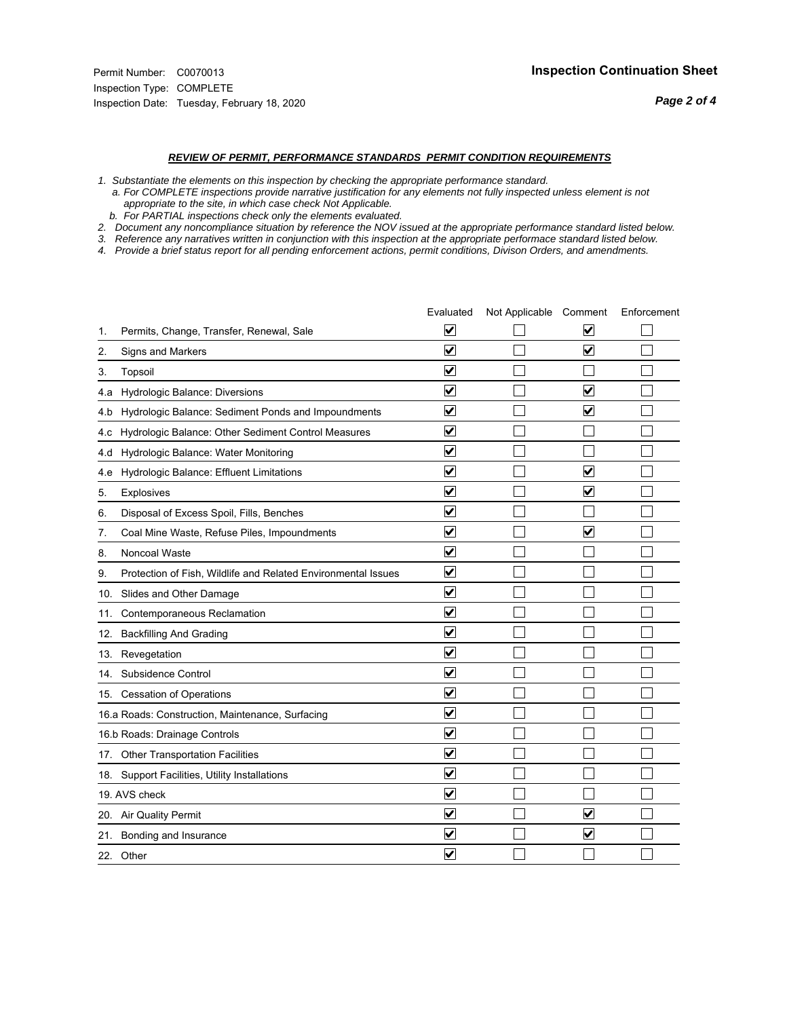*Page 2 of 4*

#### *REVIEW OF PERMIT, PERFORMANCE STANDARDS PERMIT CONDITION REQUIREMENTS*

*1. Substantiate the elements on this inspection by checking the appropriate performance standard.*

 *a. For COMPLETE inspections provide narrative justification for any elements not fully inspected unless element is not appropriate to the site, in which case check Not Applicable.*

 *b. For PARTIAL inspections check only the elements evaluated.*

*2. Document any noncompliance situation by reference the NOV issued at the appropriate performance standard listed below.*

*3. Reference any narratives written in conjunction with this inspection at the appropriate performace standard listed below.*

*4. Provide a brief status report for all pending enforcement actions, permit conditions, Divison Orders, and amendments.*

|     |                                                               | Evaluated                       | Not Applicable Comment |                                 | Enforcement |
|-----|---------------------------------------------------------------|---------------------------------|------------------------|---------------------------------|-------------|
| 1.  | Permits, Change, Transfer, Renewal, Sale                      | V                               |                        | V                               |             |
| 2.  | Signs and Markers                                             | $\overline{\mathbf{v}}$         |                        | $\overline{\blacktriangledown}$ |             |
| 3.  | Topsoil                                                       | $\overline{\mathbf{v}}$         |                        |                                 |             |
| 4.a | Hydrologic Balance: Diversions                                | $\blacktriangledown$            |                        | $\blacktriangledown$            |             |
| 4.b | Hydrologic Balance: Sediment Ponds and Impoundments           | $\blacktriangledown$            |                        | $\blacktriangledown$            |             |
| 4.c | Hydrologic Balance: Other Sediment Control Measures           | $\blacktriangledown$            |                        |                                 |             |
| 4.d | Hydrologic Balance: Water Monitoring                          | $\overline{\mathbf{v}}$         |                        |                                 |             |
| 4.e | Hydrologic Balance: Effluent Limitations                      | ☑                               |                        | $\overline{\mathbf{v}}$         |             |
| 5.  | <b>Explosives</b>                                             | $\blacktriangledown$            |                        | $\blacktriangledown$            |             |
| 6.  | Disposal of Excess Spoil, Fills, Benches                      | $\blacktriangledown$            |                        |                                 |             |
| 7.  | Coal Mine Waste, Refuse Piles, Impoundments                   | $\blacktriangledown$            |                        | $\blacktriangledown$            |             |
| 8.  | Noncoal Waste                                                 | ⊽                               |                        |                                 |             |
| 9.  | Protection of Fish, Wildlife and Related Environmental Issues | ✔                               |                        |                                 |             |
|     | 10. Slides and Other Damage                                   | ☑                               |                        |                                 |             |
| 11. | Contemporaneous Reclamation                                   | ⊻                               |                        |                                 |             |
| 12. | <b>Backfilling And Grading</b>                                | $\overline{\mathbf{v}}$         |                        |                                 |             |
|     | 13. Revegetation                                              | $\overline{\mathbf{v}}$         |                        |                                 |             |
| 14. | Subsidence Control                                            | $\overline{\mathbf{v}}$         |                        |                                 |             |
|     | 15. Cessation of Operations                                   | ☑                               |                        |                                 |             |
|     | 16.a Roads: Construction, Maintenance, Surfacing              | ☑                               |                        |                                 |             |
|     | 16.b Roads: Drainage Controls                                 | $\blacktriangledown$            |                        |                                 |             |
|     | 17. Other Transportation Facilities                           | $\overline{\mathbf{v}}$         |                        |                                 |             |
|     | 18. Support Facilities, Utility Installations                 | $\overline{\blacktriangledown}$ |                        |                                 |             |
|     | 19. AVS check                                                 | $\blacktriangledown$            |                        |                                 |             |
|     | 20. Air Quality Permit                                        | $\blacktriangledown$            |                        | $\overline{\mathbf{v}}$         |             |
|     | 21. Bonding and Insurance                                     | V                               |                        | $\blacktriangledown$            |             |
|     | 22. Other                                                     | $\blacktriangledown$            |                        |                                 |             |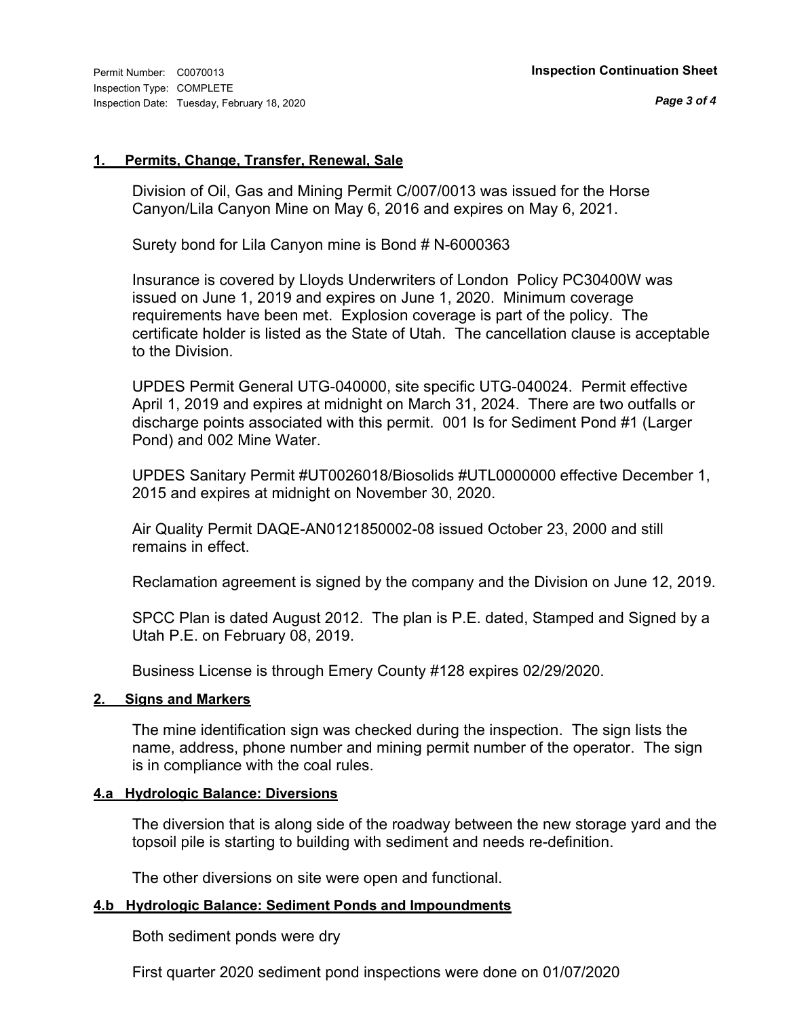#### **1. Permits, Change, Transfer, Renewal, Sale**

Division of Oil, Gas and Mining Permit C/007/0013 was issued for the Horse Canyon/Lila Canyon Mine on May 6, 2016 and expires on May 6, 2021.

Surety bond for Lila Canyon mine is Bond # N-6000363

Insurance is covered by Lloyds Underwriters of London Policy PC30400W was issued on June 1, 2019 and expires on June 1, 2020. Minimum coverage requirements have been met. Explosion coverage is part of the policy. The certificate holder is listed as the State of Utah. The cancellation clause is acceptable to the Division.

UPDES Permit General UTG-040000, site specific UTG-040024. Permit effective April 1, 2019 and expires at midnight on March 31, 2024. There are two outfalls or discharge points associated with this permit. 001 Is for Sediment Pond #1 (Larger Pond) and 002 Mine Water.

UPDES Sanitary Permit #UT0026018/Biosolids #UTL0000000 effective December 1, 2015 and expires at midnight on November 30, 2020.

Air Quality Permit DAQE-AN0121850002-08 issued October 23, 2000 and still remains in effect.

Reclamation agreement is signed by the company and the Division on June 12, 2019.

SPCC Plan is dated August 2012. The plan is P.E. dated, Stamped and Signed by a Utah P.E. on February 08, 2019.

Business License is through Emery County #128 expires 02/29/2020.

### **2. Signs and Markers**

The mine identification sign was checked during the inspection. The sign lists the name, address, phone number and mining permit number of the operator. The sign is in compliance with the coal rules.

### **4.a Hydrologic Balance: Diversions**

The diversion that is along side of the roadway between the new storage yard and the topsoil pile is starting to building with sediment and needs re-definition.

The other diversions on site were open and functional.

### **4.b Hydrologic Balance: Sediment Ponds and Impoundments**

Both sediment ponds were dry

First quarter 2020 sediment pond inspections were done on 01/07/2020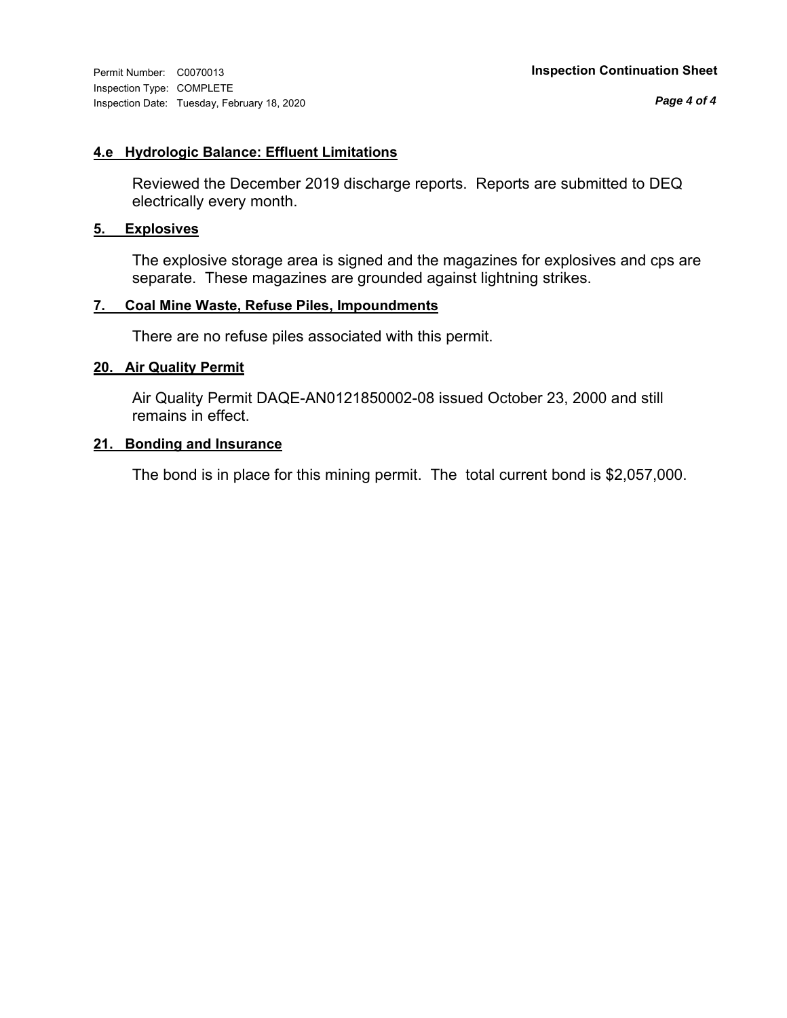Inspection Type: COMPLETE Inspection Date: Tuesday, February 18, 2020

*Page 4 of 4*

#### **4.e Hydrologic Balance: Effluent Limitations**

Reviewed the December 2019 discharge reports. Reports are submitted to DEQ electrically every month.

### **5. Explosives**

The explosive storage area is signed and the magazines for explosives and cps are separate. These magazines are grounded against lightning strikes.

#### **7. Coal Mine Waste, Refuse Piles, Impoundments**

There are no refuse piles associated with this permit.

#### **20. Air Quality Permit**

Air Quality Permit DAQE-AN0121850002-08 issued October 23, 2000 and still remains in effect.

#### **21. Bonding and Insurance**

The bond is in place for this mining permit. The total current bond is \$2,057,000.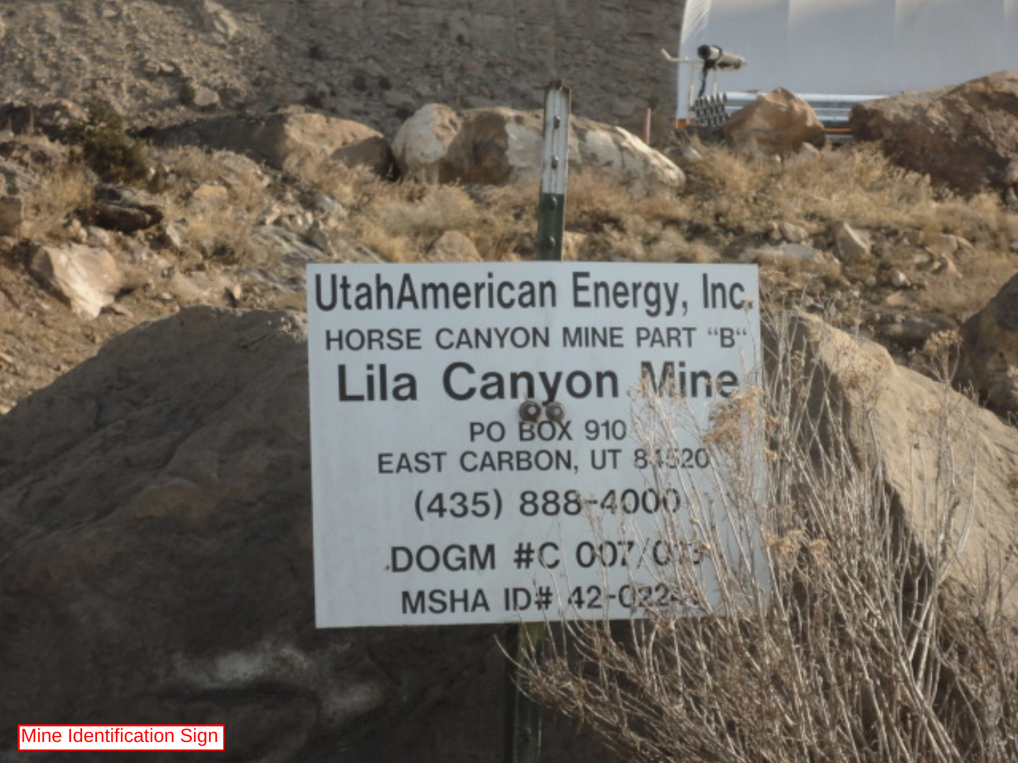**UtahAmerican Energy, Inc. HORSE CANYON MINE PART "B" Lila Canyon Mine PO BOX 910** EAST CARBON, UT 8,1520

 $(435) 888 - 4000$ DOGM #C 007/013 **MSHA ID# 42-022-4**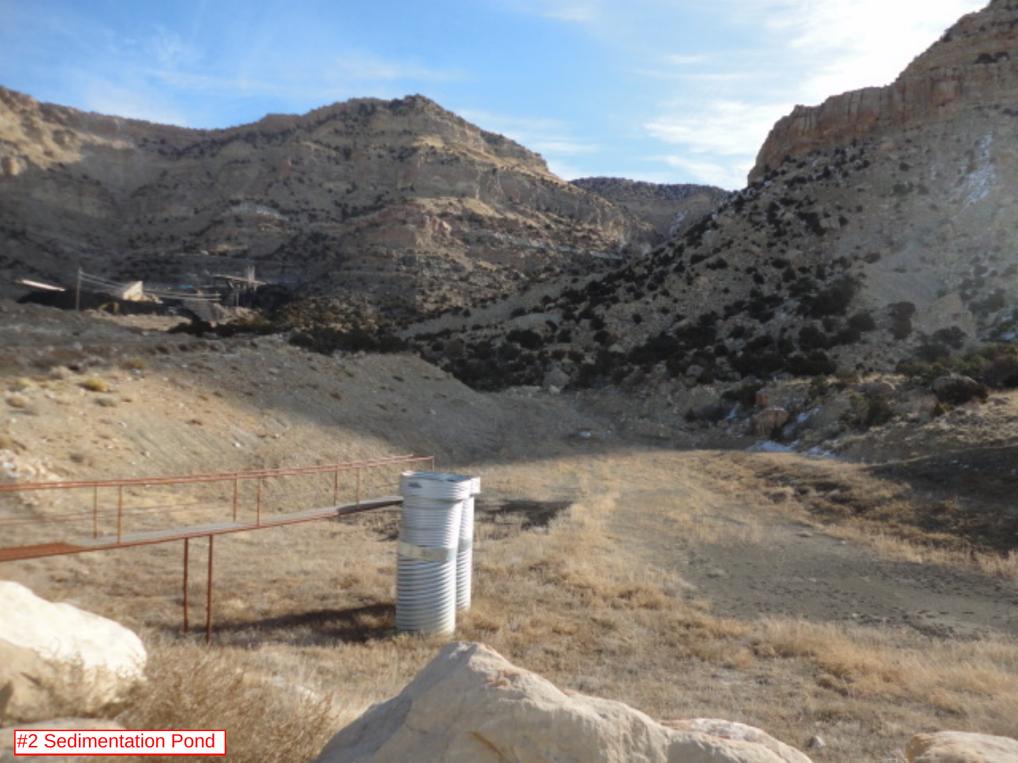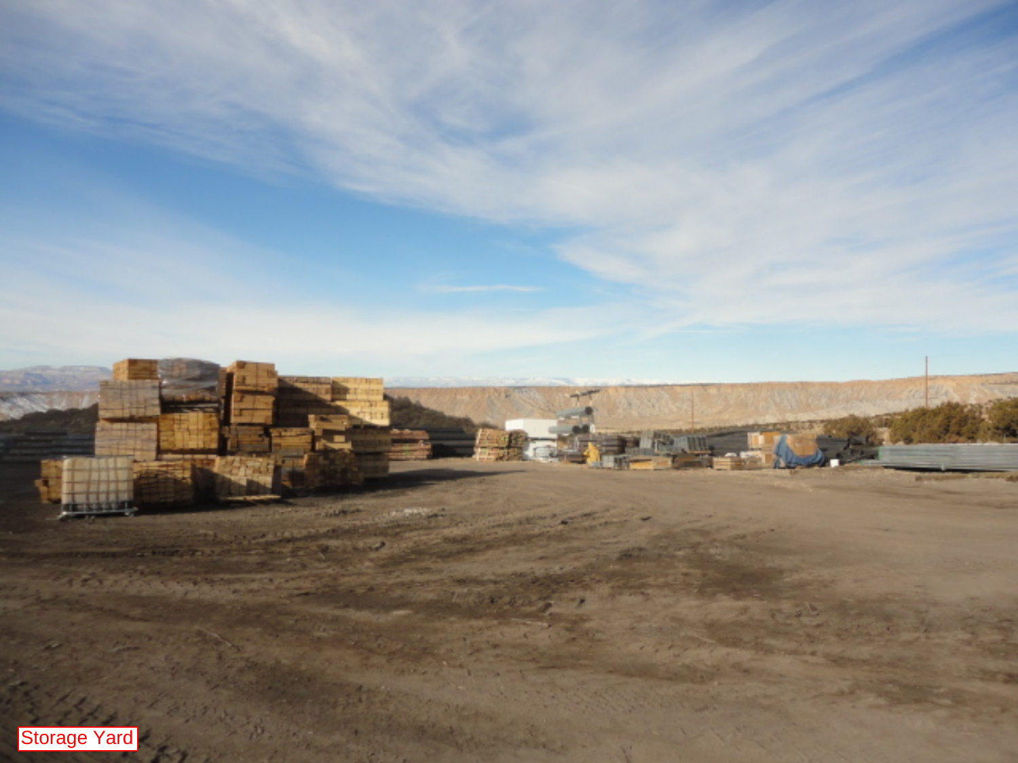